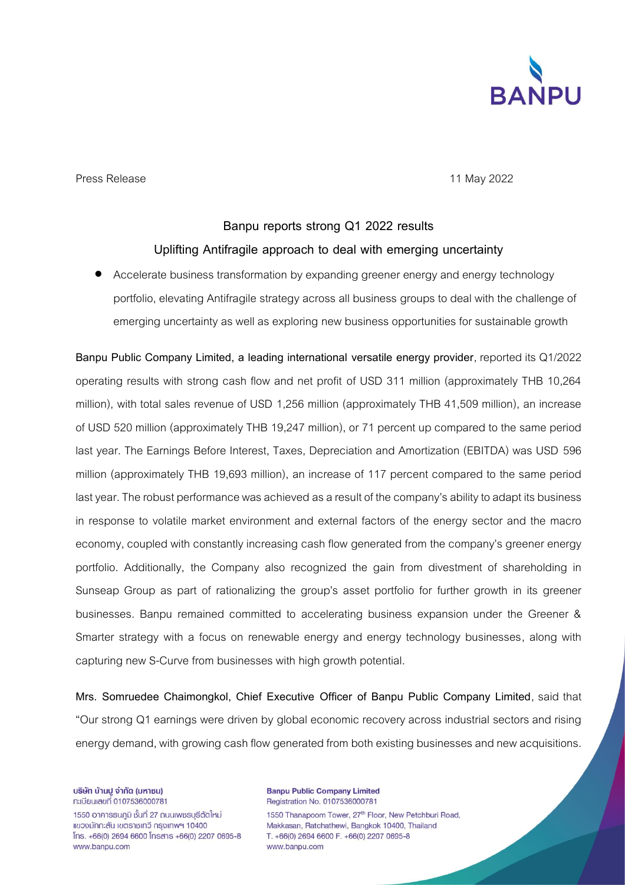

Press Release **11 May 2022** 

## **Banpu reports strong Q1 2022 results Uplifting Antifragile approach to deal with emerging uncertainty**

• Accelerate business transformation by expanding greener energy and energy technology portfolio, elevating Antifragile strategy across all business groups to deal with the challenge of emerging uncertainty as well as exploring new business opportunities for sustainable growth

**Banpu Public Company Limited, a leading international versatile energy provider**, reported its Q1/2022 operating results with strong cash flow and net profit of USD 311 million (approximately THB 10,264 million), with total sales revenue of USD 1,256 million (approximately THB 41,509 million), an increase of USD 520 million (approximately THB 19,247 million), or 71 percent up compared to the same period last year. The Earnings Before Interest, Taxes, Depreciation and Amortization (EBITDA) was USD 596 million (approximately THB 19,693 million), an increase of 117 percent compared to the same period last year. The robust performance was achieved as a result of the company's ability to adapt its business in response to volatile market environment and external factors of the energy sector and the macro economy, coupled with constantly increasing cash flow generated from the company's greener energy portfolio. Additionally, the Company also recognized the gain from divestment of shareholding in Sunseap Group as part of rationalizing the group's asset portfolio for further growth in its greener businesses. Banpu remained committed to accelerating business expansion under the Greener & Smarter strategy with a focus on renewable energy and energy technology businesses, along with capturing new S-Curve from businesses with high growth potential.

**Mrs. Somruedee Chaimongkol, Chief Executive Officer of Banpu Public Company Limited**, said that "Our strong Q1 earnings were driven by global economic recovery across industrial sectors and rising energy demand, with growing cash flow generated from both existing businesses and new acquisitions.

บริษัท บ้านปู จำกัด (มหาชน) ทะเบียนเลขที่ 0107536000781

1550 อาคารธนภมิ ชั้นที่ 27 ถนนเพชรบุรีตัดใหม่ แขวงมักกะสัน เขตราชเทวี กรุงเทพฯ 10400  $[$ ns. +66(0) 2694 6600  $[$ nsans +66(0) 2207 0695-8 www.banpu.com

**Banpu Public Company Limited** Registration No. 0107536000781 1550 Thanapoom Tower, 27<sup>th</sup> Floor, New Petchburi Road, Makkasan, Ratchathewi, Bangkok 10400, Thailand T. +66(0) 2694 6600 F. +66(0) 2207 0695-8 www.banpu.com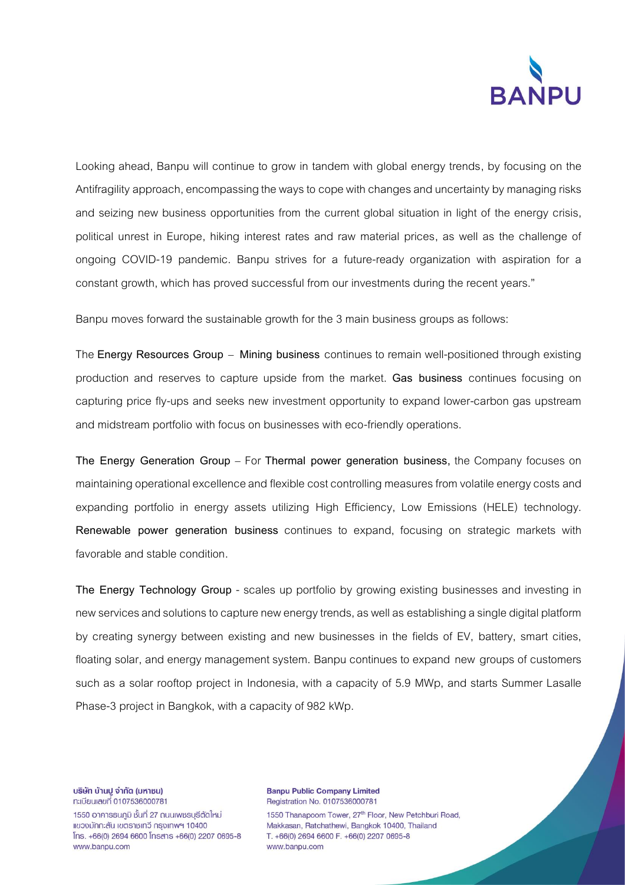

Looking ahead, Banpu will continue to grow in tandem with global energy trends, by focusing on the Antifragility approach, encompassing the ways to cope with changes and uncertainty by managing risks and seizing new business opportunities from the current global situation in light of the energy crisis, political unrest in Europe, hiking interest rates and raw material prices, as well as the challenge of ongoing COVID-19 pandemic. Banpu strives for a future-ready organization with aspiration for a constant growth, which has proved successful from our investments during the recent years."

Banpu moves forward the sustainable growth for the 3 main business groups as follows:

The **Energy Resources Group** – **Mining business** continues to remain well-positioned through existing production and reserves to capture upside from the market. **Gas business** continues focusing on capturing price fly-ups and seeks new investment opportunity to expand lower-carbon gas upstream and midstream portfolio with focus on businesses with eco-friendly operations.

**The Energy Generation Group** – For **Thermal power generation business,** the Company focuses on maintaining operational excellence and flexible cost controlling measures from volatile energy costs and expanding portfolio in energy assets utilizing High Efficiency, Low Emissions (HELE) technology. **Renewable power generation business** continues to expand, focusing on strategic markets with favorable and stable condition.

**The Energy Technology Group** - scales up portfolio by growing existing businesses and investing in new services and solutions to capture new energy trends, as well as establishing a single digital platform by creating synergy between existing and new businesses in the fields of EV, battery, smart cities, floating solar, and energy management system. Banpu continues to expand new groups of customers such as a solar rooftop project in Indonesia, with a capacity of 5.9 MWp, and starts Summer Lasalle Phase-3 project in Bangkok, with a capacity of 982 kWp.

บริษัท บ้านปู จำกัด (มหาชน) ทะเบียนเลขที่ 0107536000781

1550 อาคารธนภูมิ ชั้นที่ 27 ถนนเพชรบุรีตัดใหม่ แขวงมักกะสัน เขตราชเทวี กรุงเทพฯ 10400  $[$ ns. +66(0) 2694 6600  $[$ nsans +66(0) 2207 0695-8 www.banpu.com

**Banpu Public Company Limited** Registration No. 0107536000781 1550 Thanapoom Tower, 27<sup>th</sup> Floor, New Petchburi Road, Makkasan, Ratchathewi, Bangkok 10400, Thailand T. +66(0) 2694 6600 F. +66(0) 2207 0695-8 www.banpu.com